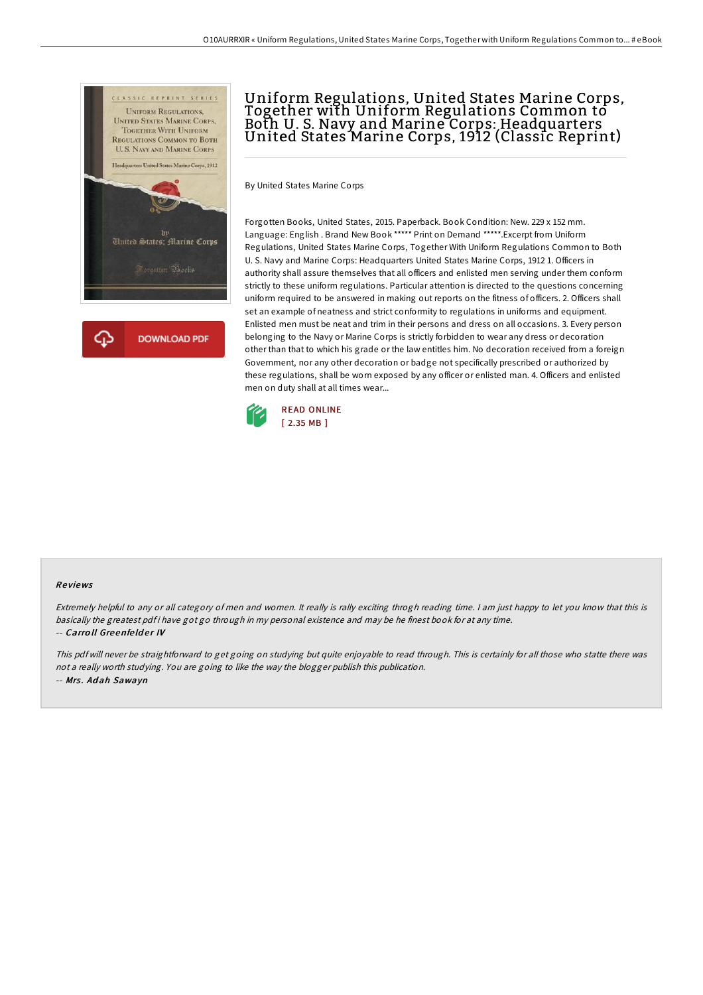



# Uniform Regulations, United States Marine Corps, Together with Uniform Regulations Common to Both U. S. Navy and Marine Corps: Headquarters United States Marine Corps, 1912 (Classic Reprint)

By United States Marine Corps

Forgotten Books, United States, 2015. Paperback. Book Condition: New. 229 x 152 mm. Language: English . Brand New Book \*\*\*\*\* Print on Demand \*\*\*\*\*.Excerpt from Uniform Regulations, United States Marine Corps, Together With Uniform Regulations Common to Both U. S. Navy and Marine Corps: Headquarters United States Marine Corps, 1912 1. Officers in authority shall assure themselves that all officers and enlisted men serving under them conform strictly to these uniform regulations. Particular attention is directed to the questions concerning uniform required to be answered in making out reports on the fitness of officers. 2. Officers shall set an example of neatness and strict conformity to regulations in uniforms and equipment. Enlisted men must be neat and trim in their persons and dress on all occasions. 3. Every person belonging to the Navy or Marine Corps is strictly forbidden to wear any dress or decoration other than that to which his grade or the law entitles him. No decoration received from a foreign Government, nor any other decoration or badge not specifically prescribed or authorized by these regulations, shall be worn exposed by any officer or enlisted man. 4. Officers and enlisted men on duty shall at all times wear...



#### Re views

Extremely helpful to any or all category of men and women. It really is rally exciting throgh reading time. <sup>I</sup> am just happy to let you know that this is basically the greatest pdf i have got go through in my personal existence and may be he finest book for at any time. -- Carroll Greenfelder IV

This pdf will never be straightforward to get going on studying but quite enjoyable to read through. This is certainly for all those who statte there was not <sup>a</sup> really worth studying. You are going to like the way the blogger publish this publication. -- Mrs. Adah Sawayn